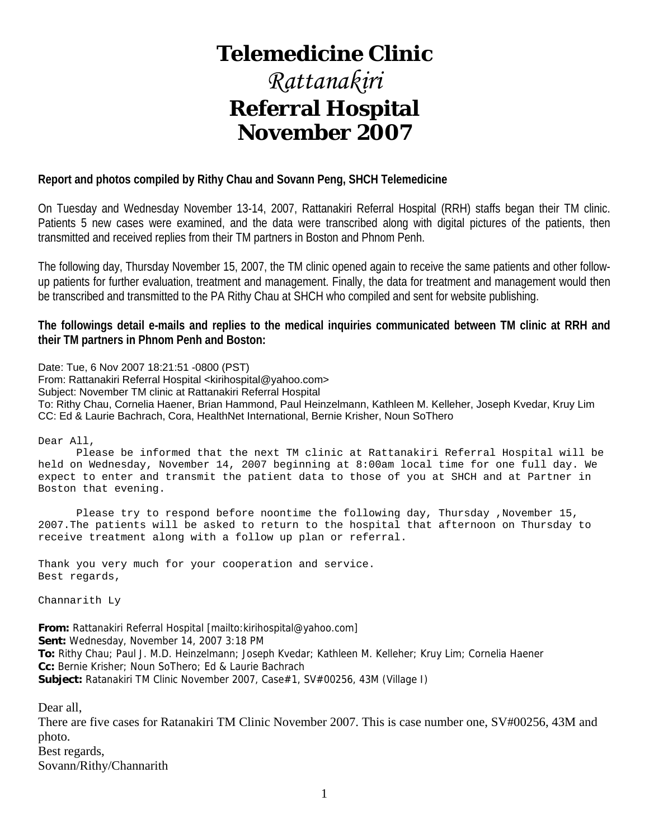## **Telemedicine Clinic**

## *Rattanakiri*  **Referral Hospital November 2007**

#### **Report and photos compiled by Rithy Chau and Sovann Peng, SHCH Telemedicine**

On Tuesday and Wednesday November 13-14, 2007, Rattanakiri Referral Hospital (RRH) staffs began their TM clinic. Patients 5 new cases were examined, and the data were transcribed along with digital pictures of the patients, then transmitted and received replies from their TM partners in Boston and Phnom Penh.

The following day, Thursday November 15, 2007, the TM clinic opened again to receive the same patients and other followup patients for further evaluation, treatment and management. Finally, the data for treatment and management would then be transcribed and transmitted to the PA Rithy Chau at SHCH who compiled and sent for website publishing.

**The followings detail e-mails and replies to the medical inquiries communicated between TM clinic at RRH and their TM partners in Phnom Penh and Boston:** 

Date: Tue, 6 Nov 2007 18:21:51 -0800 (PST)

From: Rattanakiri Referral Hospital <kirihospital@yahoo.com> Subject: November TM clinic at Rattanakiri Referral Hospital To: Rithy Chau, Cornelia Haener, Brian Hammond, Paul Heinzelmann, Kathleen M. Kelleher, Joseph Kvedar, Kruy Lim CC: Ed & Laurie Bachrach, Cora, HealthNet International, Bernie Krisher, Noun SoThero

Dear All,

 Please be informed that the next TM clinic at Rattanakiri Referral Hospital will be held on Wednesday, November 14, 2007 beginning at 8:00am local time for one full day. We expect to enter and transmit the patient data to those of you at SHCH and at Partner in Boston that evening.

Please try to respond before noontime the following day, Thursday ,November 15, 2007.The patients will be asked to return to the hospital that afternoon on Thursday to receive treatment along with a follow up plan or referral.

Thank you very much for your cooperation and service. Best regards,

Channarith Ly

**From:** Rattanakiri Referral Hospital [mailto:kirihospital@yahoo.com] **Sent:** Wednesday, November 14, 2007 3:18 PM **To:** Rithy Chau; Paul J. M.D. Heinzelmann; Joseph Kvedar; Kathleen M. Kelleher; Kruy Lim; Cornelia Haener **Cc:** Bernie Krisher; Noun SoThero; Ed & Laurie Bachrach **Subject:** Ratanakiri TM Clinic November 2007, Case#1, SV#00256, 43M (Village I)

Dear all,

There are five cases for Ratanakiri TM Clinic November 2007. This is case number one, SV#00256, 43M and photo. Best regards, Sovann/Rithy/Channarith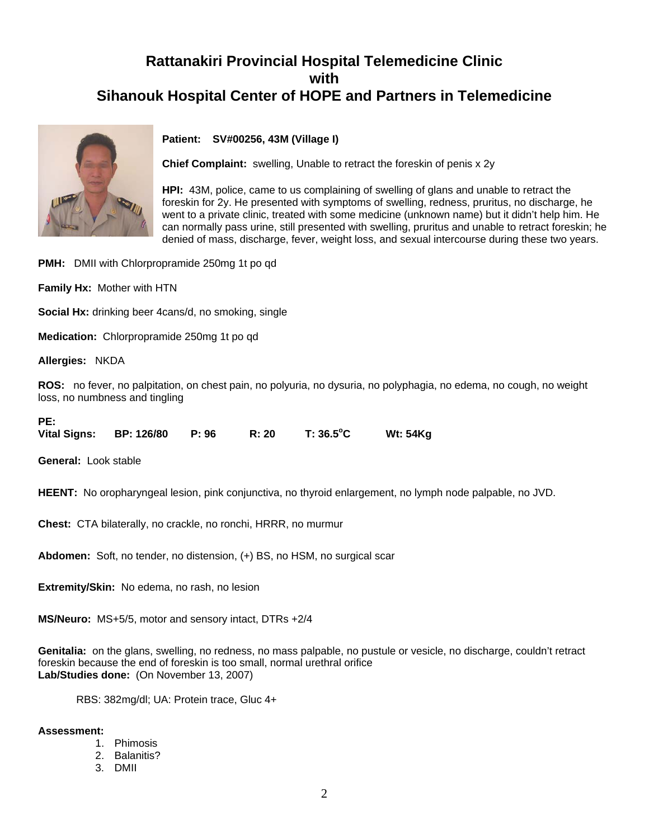

#### **Patient: SV#00256, 43M (Village I)**

**Chief Complaint:** swelling, Unable to retract the foreskin of penis x 2y

**HPI:** 43M, police, came to us complaining of swelling of glans and unable to retract the foreskin for 2y. He presented with symptoms of swelling, redness, pruritus, no discharge, he went to a private clinic, treated with some medicine (unknown name) but it didn't help him. He can normally pass urine, still presented with swelling, pruritus and unable to retract foreskin; he denied of mass, discharge, fever, weight loss, and sexual intercourse during these two years.

**PMH:** DMII with Chlorpropramide 250mg 1t po qd

**Family Hx:** Mother with HTN

**Social Hx:** drinking beer 4cans/d, no smoking, single

**Medication:** Chlorpropramide 250mg 1t po qd

**Allergies:** NKDA

**ROS:** no fever, no palpitation, on chest pain, no polyuria, no dysuria, no polyphagia, no edema, no cough, no weight loss, no numbness and tingling

**PE:** 

**Vital Signs: BP: 126/80 P: 96 R: 20 T: 36.5o C Wt: 54Kg**

**General:** Look stable

**HEENT:** No oropharyngeal lesion, pink conjunctiva, no thyroid enlargement, no lymph node palpable, no JVD.

**Chest:** CTA bilaterally, no crackle, no ronchi, HRRR, no murmur

**Abdomen:** Soft, no tender, no distension, (+) BS, no HSM, no surgical scar

**Extremity/Skin:** No edema, no rash, no lesion

**MS/Neuro:** MS+5/5, motor and sensory intact, DTRs +2/4

**Genitalia:** on the glans, swelling, no redness, no mass palpable, no pustule or vesicle, no discharge, couldn't retract foreskin because the end of foreskin is too small, normal urethral orifice **Lab/Studies done:** (On November 13, 2007)

RBS: 382mg/dl; UA: Protein trace, Gluc 4+

#### **Assessment:**

- 1. Phimosis
- 2. Balanitis?
- 3. DMII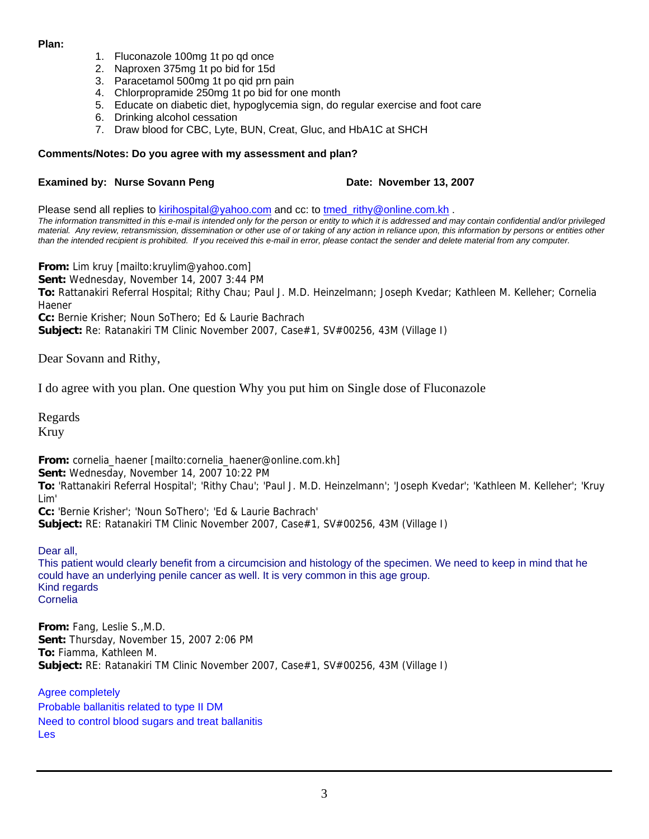#### **Plan:**

- 1. Fluconazole 100mg 1t po qd once
- 2. Naproxen 375mg 1t po bid for 15d
- 3. Paracetamol 500mg 1t po qid prn pain
- 4. Chlorpropramide 250mg 1t po bid for one month
- 5. Educate on diabetic diet, hypoglycemia sign, do regular exercise and foot care
- 6. Drinking alcohol cessation
- 7. Draw blood for CBC, Lyte, BUN, Creat, Gluc, and HbA1C at SHCH

#### **Comments/Notes: Do you agree with my assessment and plan?**

#### **Examined by: Nurse Sovann Peng Date: November 13, 2007**

Please send all replies to [kirihospital@yahoo.com](mailto:kirihospital@yahoo.com) and cc: to tmed rithy@online.com.kh . The information transmitted in this e-mail is intended only for the person or entity to which it is addressed and may contain confidential and/or privileged *material. Any review, retransmission, dissemination or other use of or taking of any action in reliance upon, this information by persons or entities other than the intended recipient is prohibited. If you received this e-mail in error, please contact the sender and delete material from any computer.*

**From:** Lim kruy [mailto:kruylim@yahoo.com] **Sent:** Wednesday, November 14, 2007 3:44 PM

**To:** Rattanakiri Referral Hospital; Rithy Chau; Paul J. M.D. Heinzelmann; Joseph Kvedar; Kathleen M. Kelleher; Cornelia Haener

**Cc:** Bernie Krisher; Noun SoThero; Ed & Laurie Bachrach

**Subject:** Re: Ratanakiri TM Clinic November 2007, Case#1, SV#00256, 43M (Village I)

Dear Sovann and Rithy,

I do agree with you plan. One question Why you put him on Single dose of Fluconazole

Regards

Kruy

**From:** cornelia\_haener [mailto:cornelia\_haener@online.com.kh]

**Sent:** Wednesday, November 14, 2007 10:22 PM

**To:** 'Rattanakiri Referral Hospital'; 'Rithy Chau'; 'Paul J. M.D. Heinzelmann'; 'Joseph Kvedar'; 'Kathleen M. Kelleher'; 'Kruy Lim'

**Cc:** 'Bernie Krisher'; 'Noun SoThero'; 'Ed & Laurie Bachrach'

**Subject:** RE: Ratanakiri TM Clinic November 2007, Case#1, SV#00256, 43M (Village I)

Dear all,

This patient would clearly benefit from a circumcision and histology of the specimen. We need to keep in mind that he could have an underlying penile cancer as well. It is very common in this age group. Kind regards Cornelia

**From:** Fang, Leslie S.,M.D. **Sent:** Thursday, November 15, 2007 2:06 PM **To:** Fiamma, Kathleen M. **Subject:** RE: Ratanakiri TM Clinic November 2007, Case#1, SV#00256, 43M (Village I)

Agree completely Probable ballanitis related to type II DM Need to control blood sugars and treat ballanitis Les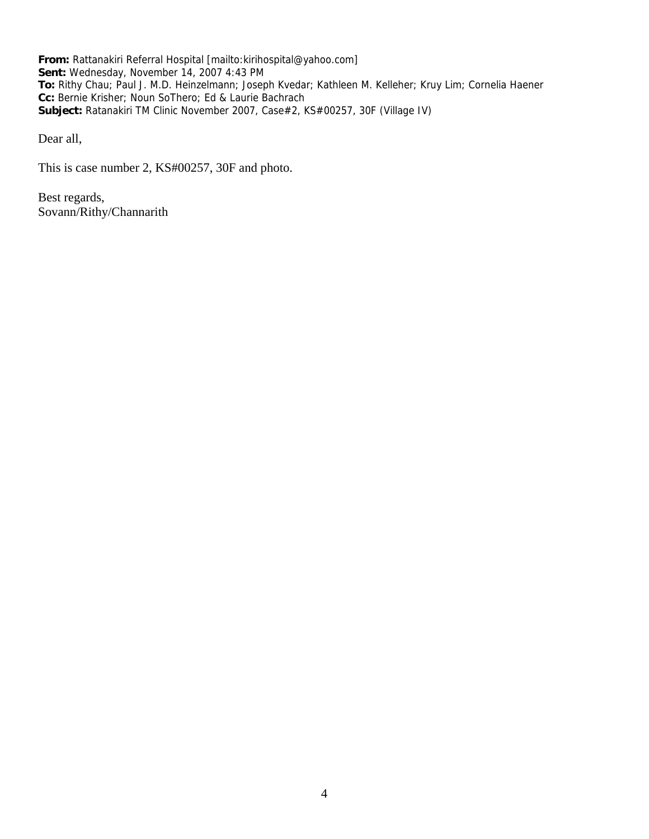**From:** Rattanakiri Referral Hospital [mailto:kirihospital@yahoo.com] **Sent:** Wednesday, November 14, 2007 4:43 PM **To:** Rithy Chau; Paul J. M.D. Heinzelmann; Joseph Kvedar; Kathleen M. Kelleher; Kruy Lim; Cornelia Haener **Cc:** Bernie Krisher; Noun SoThero; Ed & Laurie Bachrach **Subject:** Ratanakiri TM Clinic November 2007, Case#2, KS#00257, 30F (Village IV)

Dear all,

This is case number 2, KS#00257, 30F and photo.

Best regards, Sovann/Rithy/Channarith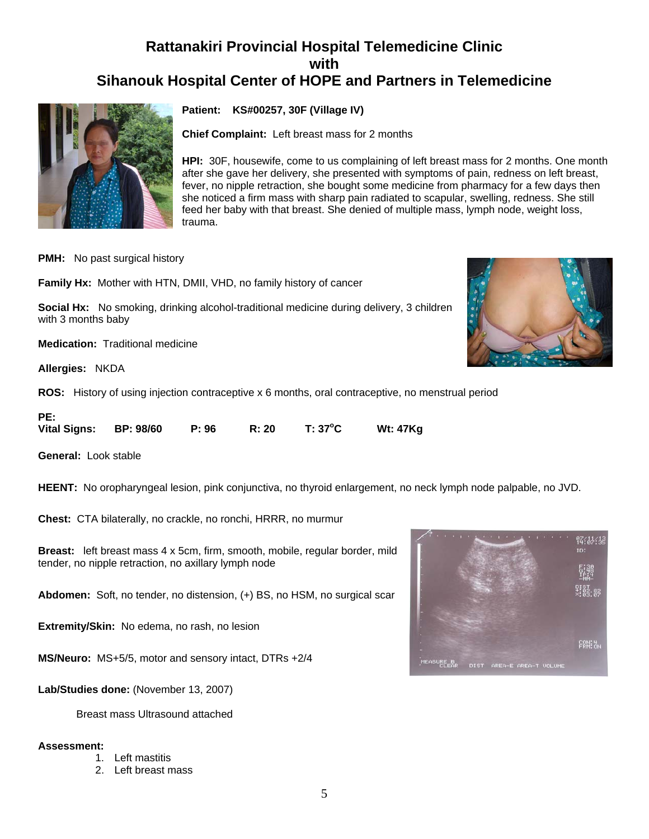

**Patient: KS#00257, 30F (Village IV)**

**Chief Complaint:** Left breast mass for 2 months

**HPI:** 30F, housewife, come to us complaining of left breast mass for 2 months. One month after she gave her delivery, she presented with symptoms of pain, redness on left breast, fever, no nipple retraction, she bought some medicine from pharmacy for a few days then she noticed a firm mass with sharp pain radiated to scapular, swelling, redness. She still feed her baby with that breast. She denied of multiple mass, lymph node, weight loss, trauma.

**PMH:** No past surgical history

**Family Hx:** Mother with HTN, DMII, VHD, no family history of cancer

**Social Hx:** No smoking, drinking alcohol-traditional medicine during delivery, 3 children with 3 months baby

**Medication:** Traditional medicine

**Allergies:** NKDA

**PE:** 

**ROS:** History of using injection contraceptive x 6 months, oral contraceptive, no menstrual period

| .                   |                  |       |       |                  |                 |
|---------------------|------------------|-------|-------|------------------|-----------------|
| <b>Vital Signs:</b> | <b>BP: 98/60</b> | P: 96 | R: 20 | $T: 37^{\circ}C$ | <b>Wt: 47Kg</b> |

**General:** Look stable

**HEENT:** No oropharyngeal lesion, pink conjunctiva, no thyroid enlargement, no neck lymph node palpable, no JVD.

**Chest:** CTA bilaterally, no crackle, no ronchi, HRRR, no murmur

**Breast:** left breast mass 4 x 5cm, firm, smooth, mobile, regular border, mild tender, no nipple retraction, no axillary lymph node

**Abdomen:** Soft, no tender, no distension, (+) BS, no HSM, no surgical scar

**Extremity/Skin:** No edema, no rash, no lesion

**MS/Neuro:** MS+5/5, motor and sensory intact, DTRs +2/4

**Lab/Studies done:** (November 13, 2007)

Breast mass Ultrasound attached

#### **Assessment:**

- 1. Left mastitis
- 2. Left breast mass



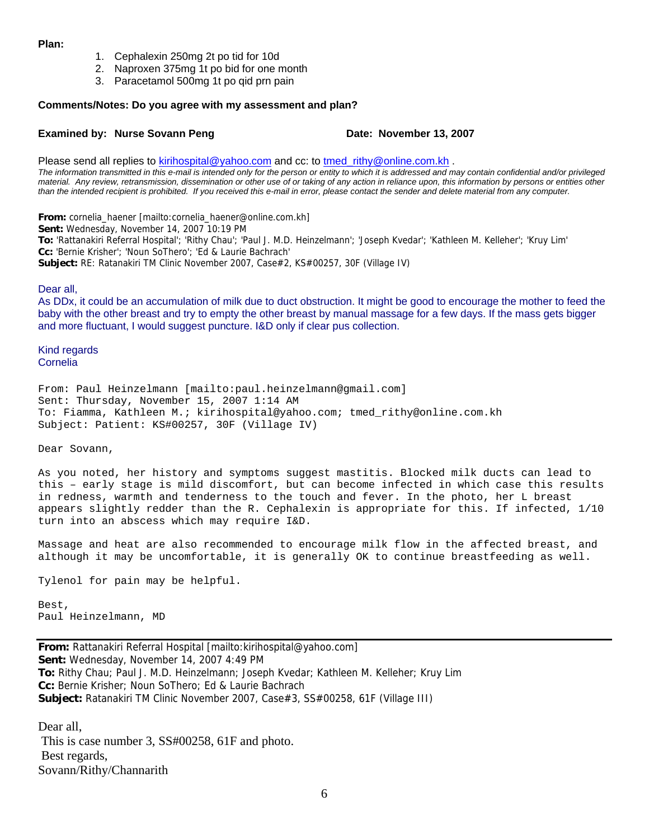#### **Plan:**

- 1. Cephalexin 250mg 2t po tid for 10d
- 2. Naproxen 375mg 1t po bid for one month
- 3. Paracetamol 500mg 1t po qid prn pain

#### **Comments/Notes: Do you agree with my assessment and plan?**

#### **Examined by: Nurse Sovann Peng Date: November 13, 2007**

Please send all replies to [kirihospital@yahoo.com](mailto:kirihospital@yahoo.com) and cc: to [tmed\\_rithy@online.com.kh](mailto:tmed_rithy@bigpond.com.kh) . *The information transmitted in this e-mail is intended only for the person or entity to which it is addressed and may contain confidential and/or privileged material. Any review, retransmission, dissemination or other use of or taking of any action in reliance upon, this information by persons or entities other than the intended recipient is prohibited. If you received this e-mail in error, please contact the sender and delete material from any computer.*

**From:** cornelia\_haener [mailto:cornelia\_haener@online.com.kh] **Sent:** Wednesday, November 14, 2007 10:19 PM **To:** 'Rattanakiri Referral Hospital'; 'Rithy Chau'; 'Paul J. M.D. Heinzelmann'; 'Joseph Kvedar'; 'Kathleen M. Kelleher'; 'Kruy Lim' **Cc:** 'Bernie Krisher'; 'Noun SoThero'; 'Ed & Laurie Bachrach' **Subject:** RE: Ratanakiri TM Clinic November 2007, Case#2, KS#00257, 30F (Village IV)

#### Dear all,

As DDx, it could be an accumulation of milk due to duct obstruction. It might be good to encourage the mother to feed the baby with the other breast and try to empty the other breast by manual massage for a few days. If the mass gets bigger and more fluctuant, I would suggest puncture. I&D only if clear pus collection.

Kind regards Cornelia

From: Paul Heinzelmann [mailto:paul.heinzelmann@gmail.com] Sent: Thursday, November 15, 2007 1:14 AM To: Fiamma, Kathleen M.; kirihospital@yahoo.com; tmed\_rithy@online.com.kh Subject: Patient: KS#00257, 30F (Village IV)

Dear Sovann,

As you noted, her history and symptoms suggest mastitis. Blocked milk ducts can lead to this – early stage is mild discomfort, but can become infected in which case this results in redness, warmth and tenderness to the touch and fever. In the photo, her L breast appears slightly redder than the R. Cephalexin is appropriate for this. If infected, 1/10 turn into an abscess which may require I&D.

Massage and heat are also recommended to encourage milk flow in the affected breast, and although it may be uncomfortable, it is generally OK to continue breastfeeding as well.

Tylenol for pain may be helpful.

Best, Paul Heinzelmann, MD

**From:** Rattanakiri Referral Hospital [mailto:kirihospital@yahoo.com] **Sent:** Wednesday, November 14, 2007 4:49 PM **To:** Rithy Chau; Paul J. M.D. Heinzelmann; Joseph Kvedar; Kathleen M. Kelleher; Kruy Lim **Cc:** Bernie Krisher; Noun SoThero; Ed & Laurie Bachrach **Subject:** Ratanakiri TM Clinic November 2007, Case#3, SS#00258, 61F (Village III)

Dear all, This is case number 3, SS#00258, 61F and photo. Best regards, Sovann/Rithy/Channarith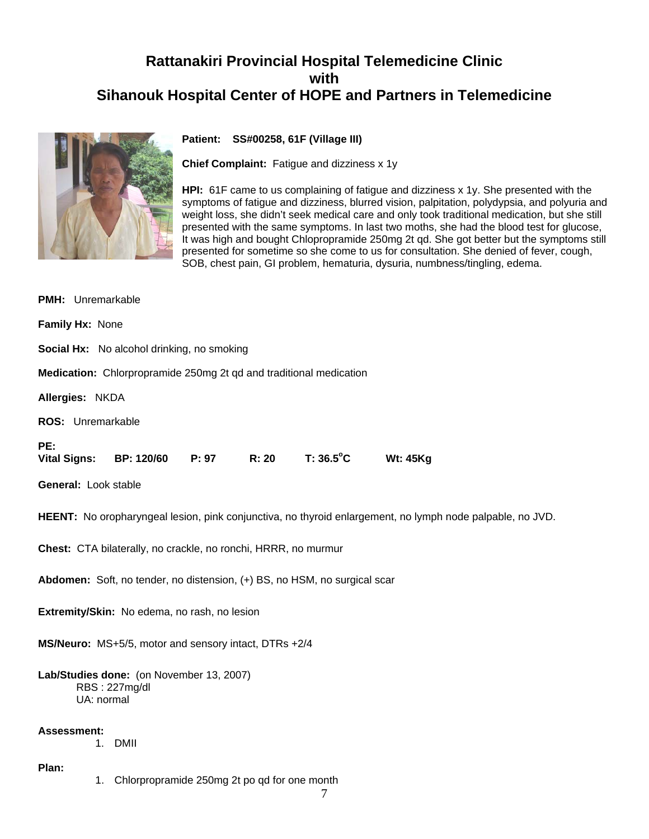

**Patient: SS#00258, 61F (Village III)**

**Chief Complaint:** Fatigue and dizziness x 1y

**HPI:** 61F came to us complaining of fatigue and dizziness x 1y. She presented with the symptoms of fatigue and dizziness, blurred vision, palpitation, polydypsia, and polyuria and weight loss, she didn't seek medical care and only took traditional medication, but she still presented with the same symptoms. In last two moths, she had the blood test for glucose, It was high and bought Chlopropramide 250mg 2t qd. She got better but the symptoms still presented for sometime so she come to us for consultation. She denied of fever, cough, SOB, chest pain, GI problem, hematuria, dysuria, numbness/tingling, edema.

| <b>PMH:</b> Unremarkable                                                                                  |
|-----------------------------------------------------------------------------------------------------------|
| Family Hx: None                                                                                           |
| <b>Social Hx:</b> No alcohol drinking, no smoking                                                         |
| Medication: Chlorpropramide 250mg 2t qd and traditional medication                                        |
| Allergies: NKDA                                                                                           |
| <b>ROS:</b> Unremarkable                                                                                  |
| PE:<br>T: 36.5°C<br>Vital Signs: BP: 120/60 P: 97 R: 20<br><b>Wt: 45Kg</b>                                |
| General: Look stable                                                                                      |
| HEENT: No oropharyngeal lesion, pink conjunctiva, no thyroid enlargement, no lymph node palpable, no JVD. |

**Chest:** CTA bilaterally, no crackle, no ronchi, HRRR, no murmur

**Abdomen:** Soft, no tender, no distension, (+) BS, no HSM, no surgical scar

**Extremity/Skin:** No edema, no rash, no lesion

**MS/Neuro:** MS+5/5, motor and sensory intact, DTRs +2/4

**Lab/Studies done:** (on November 13, 2007) RBS : 227mg/dl UA: normal

**Assessment:**

1. DMII

#### **Plan:**

1. Chlorpropramide 250mg 2t po qd for one month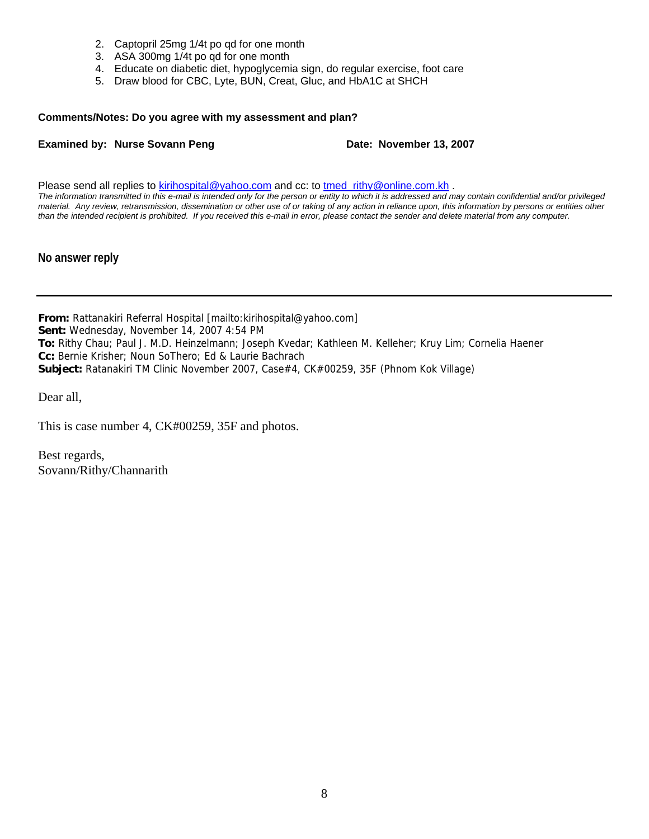- 2. Captopril 25mg 1/4t po qd for one month
- 3. ASA 300mg 1/4t po qd for one month
- 4. Educate on diabetic diet, hypoglycemia sign, do regular exercise, foot care
- 5. Draw blood for CBC, Lyte, BUN, Creat, Gluc, and HbA1C at SHCH

#### **Comments/Notes: Do you agree with my assessment and plan?**

**Examined by: Nurse Sovann Peng Date: November 13, 2007** 

Please send all replies to [kirihospital@yahoo.com](mailto:kirihospital@yahoo.com) and cc: to [tmed\\_rithy@online.com.kh](mailto:tmed_rithy@bigpond.com.kh) . *The information transmitted in this e-mail is intended only for the person or entity to which it is addressed and may contain confidential and/or privileged material. Any review, retransmission, dissemination or other use of or taking of any action in reliance upon, this information by persons or entities other than the intended recipient is prohibited. If you received this e-mail in error, please contact the sender and delete material from any computer.*

**No answer reply** 

**From:** Rattanakiri Referral Hospital [mailto:kirihospital@yahoo.com] **Sent:** Wednesday, November 14, 2007 4:54 PM **To:** Rithy Chau; Paul J. M.D. Heinzelmann; Joseph Kvedar; Kathleen M. Kelleher; Kruy Lim; Cornelia Haener **Cc:** Bernie Krisher; Noun SoThero; Ed & Laurie Bachrach **Subject:** Ratanakiri TM Clinic November 2007, Case#4, CK#00259, 35F (Phnom Kok Village)

Dear all,

This is case number 4, CK#00259, 35F and photos.

Best regards, Sovann/Rithy/Channarith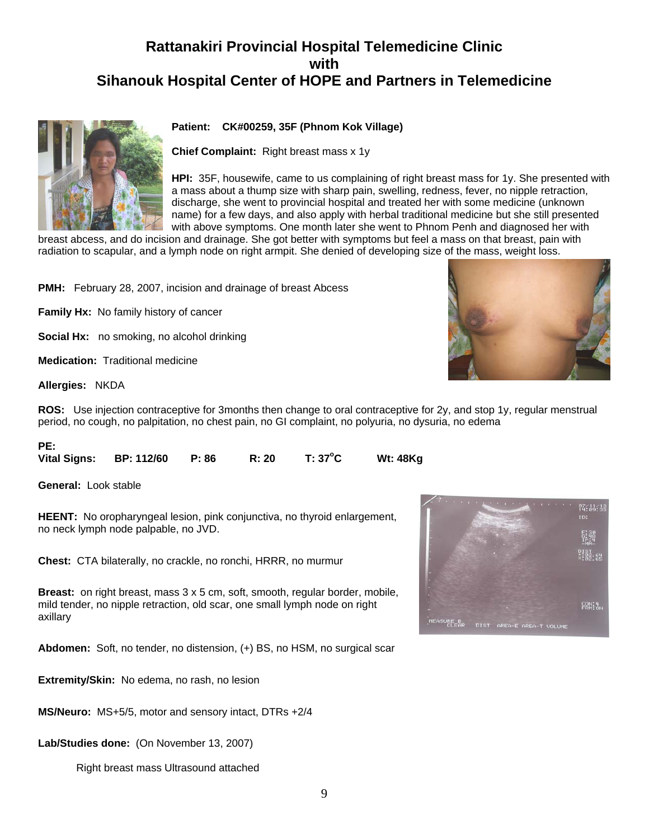

**Chief Complaint:** Right breast mass x 1y

**HPI:** 35F, housewife, came to us complaining of right breast mass for 1y. She presented with a mass about a thump size with sharp pain, swelling, redness, fever, no nipple retraction, discharge, she went to provincial hospital and treated her with some medicine (unknown name) for a few days, and also apply with herbal traditional medicine but she still presented with above symptoms. One month later she went to Phnom Penh and diagnosed her with

breast abcess, and do incision and drainage. She got better with symptoms but feel a mass on that breast, pain with radiation to scapular, and a lymph node on right armpit. She denied of developing size of the mass, weight loss.

**PMH:** February 28, 2007, incision and drainage of breast Abcess

**Family Hx:** No family history of cancer

**Social Hx:** no smoking, no alcohol drinking

**Medication:** Traditional medicine

**Allergies:** NKDA

**ROS:** Use injection contraceptive for 3months then change to oral contraceptive for 2y, and stop 1y, regular menstrual period, no cough, no palpitation, no chest pain, no GI complaint, no polyuria, no dysuria, no edema

#### **PE:**

| <b>Vital Signs:</b> | <b>BP: 112/60</b> | P: 86 | R: 20 | $T: 37^{\circ}$ C | <b>Wt: 48Kg</b> |
|---------------------|-------------------|-------|-------|-------------------|-----------------|
|                     |                   |       |       |                   |                 |

**General:** Look stable

**HEENT:** No oropharyngeal lesion, pink conjunctiva, no thyroid enlargement, no neck lymph node palpable, no JVD.

**Chest:** CTA bilaterally, no crackle, no ronchi, HRRR, no murmur

**Breast:** on right breast, mass 3 x 5 cm, soft, smooth, regular border, mobile, mild tender, no nipple retraction, old scar, one small lymph node on right axillary

**Abdomen:** Soft, no tender, no distension, (+) BS, no HSM, no surgical scar

**Extremity/Skin:** No edema, no rash, no lesion

**MS/Neuro:** MS+5/5, motor and sensory intact, DTRs +2/4

**Lab/Studies done:** (On November 13, 2007)

Right breast mass Ultrasound attached



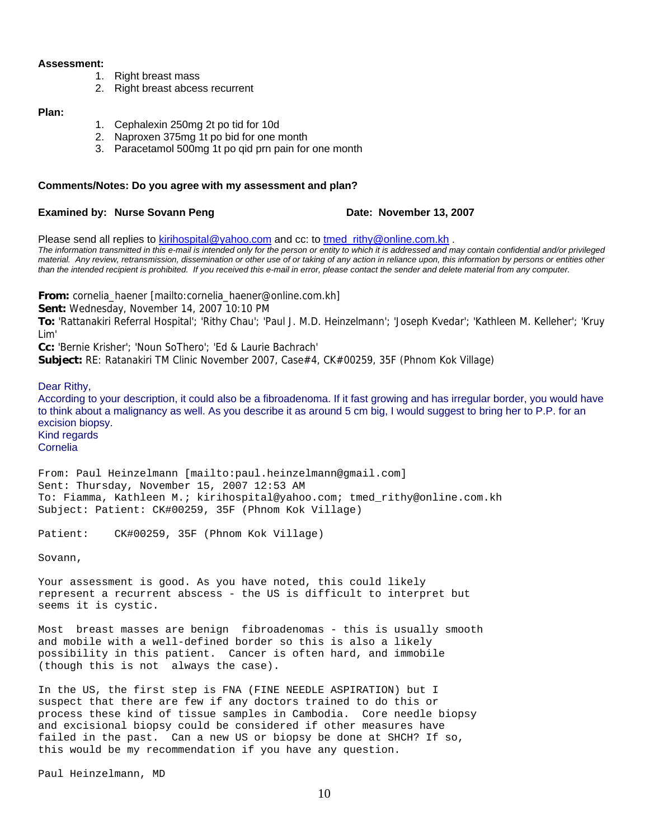#### **Assessment:**

- 1. Right breast mass
- 2. Right breast abcess recurrent

#### **Plan:**

- 1. Cephalexin 250mg 2t po tid for 10d
- 2. Naproxen 375mg 1t po bid for one month
- 3. Paracetamol 500mg 1t po qid prn pain for one month

#### **Comments/Notes: Do you agree with my assessment and plan?**

#### **Examined by: Nurse Sovann Peng Date: November 13, 2007**

Please send all replies to [kirihospital@yahoo.com](mailto:kirihospital@yahoo.com) and cc: to [tmed\\_rithy@online.com.kh](mailto:tmed_rithy@bigpond.com.kh) . *The information transmitted in this e-mail is intended only for the person or entity to which it is addressed and may contain confidential and/or privileged material. Any review, retransmission, dissemination or other use of or taking of any action in reliance upon, this information by persons or entities other than the intended recipient is prohibited. If you received this e-mail in error, please contact the sender and delete material from any computer.*

**From:** cornelia\_haener [mailto:cornelia\_haener@online.com.kh] **Sent:** Wednesday, November 14, 2007 10:10 PM **To:** 'Rattanakiri Referral Hospital'; 'Rithy Chau'; 'Paul J. M.D. Heinzelmann'; 'Joseph Kvedar'; 'Kathleen M. Kelleher'; 'Kruy Lim'

**Cc:** 'Bernie Krisher'; 'Noun SoThero'; 'Ed & Laurie Bachrach'

**Subject:** RE: Ratanakiri TM Clinic November 2007, Case#4, CK#00259, 35F (Phnom Kok Village)

Dear Rithy,

According to your description, it could also be a fibroadenoma. If it fast growing and has irregular border, you would have to think about a malignancy as well. As you describe it as around 5 cm big, I would suggest to bring her to P.P. for an excision biopsy. Kind regards

Cornelia

From: Paul Heinzelmann [mailto:paul.heinzelmann@gmail.com] Sent: Thursday, November 15, 2007 12:53 AM To: Fiamma, Kathleen M.; kirihospital@yahoo.com; tmed\_rithy@online.com.kh Subject: Patient: CK#00259, 35F (Phnom Kok Village)

Patient: CK#00259, 35F (Phnom Kok Village)

Sovann,

Your assessment is good. As you have noted, this could likely represent a recurrent abscess - the US is difficult to interpret but seems it is cystic.

Most breast masses are benign fibroadenomas - this is usually smooth and mobile with a well-defined border so this is also a likely possibility in this patient. Cancer is often hard, and immobile (though this is not always the case).

In the US, the first step is FNA (FINE NEEDLE ASPIRATION) but I suspect that there are few if any doctors trained to do this or process these kind of tissue samples in Cambodia. Core needle biopsy and excisional biopsy could be considered if other measures have failed in the past. Can a new US or biopsy be done at SHCH? If so, this would be my recommendation if you have any question.

Paul Heinzelmann, MD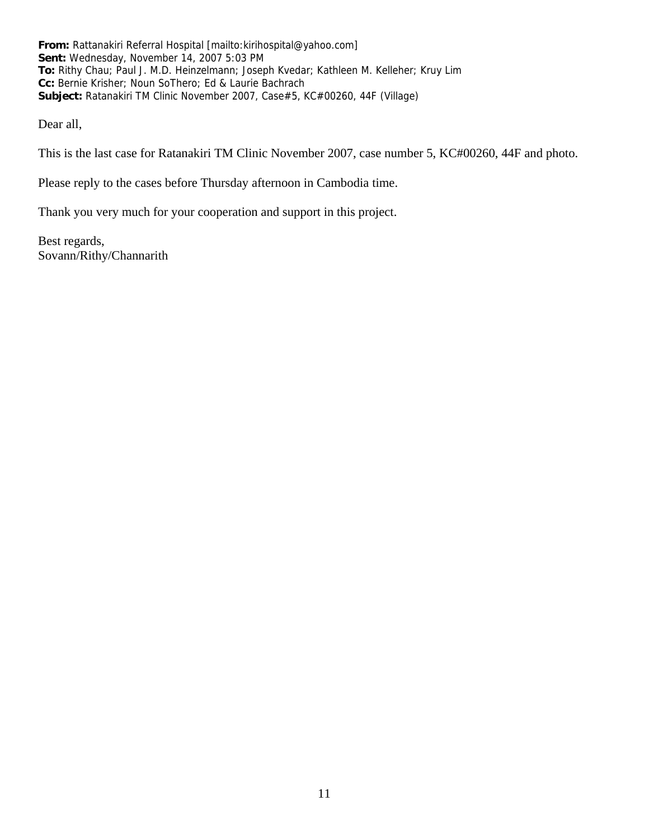**From:** Rattanakiri Referral Hospital [mailto:kirihospital@yahoo.com] **Sent:** Wednesday, November 14, 2007 5:03 PM **To:** Rithy Chau; Paul J. M.D. Heinzelmann; Joseph Kvedar; Kathleen M. Kelleher; Kruy Lim **Cc:** Bernie Krisher; Noun SoThero; Ed & Laurie Bachrach **Subject:** Ratanakiri TM Clinic November 2007, Case#5, KC#00260, 44F (Village)

Dear all,

This is the last case for Ratanakiri TM Clinic November 2007, case number 5, KC#00260, 44F and photo.

Please reply to the cases before Thursday afternoon in Cambodia time.

Thank you very much for your cooperation and support in this project.

Best regards, Sovann/Rithy/Channarith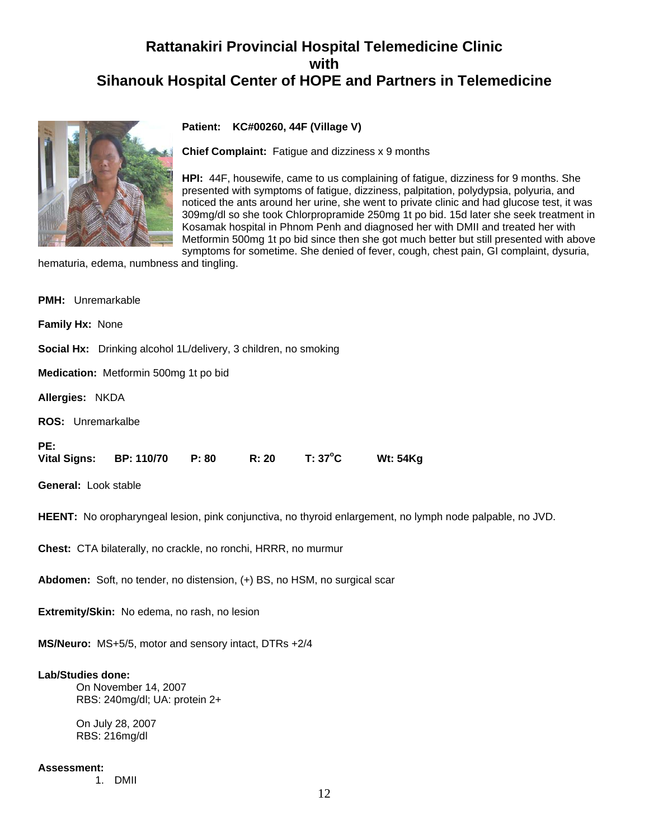**Patient: KC#00260, 44F (Village V)**



**Chief Complaint:** Fatigue and dizziness x 9 months

**HPI:** 44F, housewife, came to us complaining of fatigue, dizziness for 9 months. She presented with symptoms of fatigue, dizziness, palpitation, polydypsia, polyuria, and noticed the ants around her urine, she went to private clinic and had glucose test, it was 309mg/dl so she took Chlorpropramide 250mg 1t po bid. 15d later she seek treatment in Kosamak hospital in Phnom Penh and diagnosed her with DMII and treated her with Metformin 500mg 1t po bid since then she got much better but still presented with above symptoms for sometime. She denied of fever, cough, chest pain, GI complaint, dysuria,

hematuria, edema, numbness and tingling.

| <b>PMH:</b> Unremarkable                                                                                         |
|------------------------------------------------------------------------------------------------------------------|
| Family Hx: None                                                                                                  |
| <b>Social Hx:</b> Drinking alcohol 1L/delivery, 3 children, no smoking                                           |
| Medication: Metformin 500mg 1t po bid                                                                            |
| Allergies: NKDA                                                                                                  |
| <b>ROS:</b> Unremarkalbe                                                                                         |
| PE:<br>$T: 37^{\circ}C$<br>Vital Signs: BP: 110/70<br>R: 20<br>P: 80<br><b>Wt: 54Kg</b>                          |
| General: Look stable                                                                                             |
| <b>HEENT:</b> No oropharyngeal lesion, pink conjunctiva, no thyroid enlargement, no lymph node palpable, no JVD. |

**Chest:** CTA bilaterally, no crackle, no ronchi, HRRR, no murmur

**Abdomen:** Soft, no tender, no distension, (+) BS, no HSM, no surgical scar

**Extremity/Skin:** No edema, no rash, no lesion

**MS/Neuro:** MS+5/5, motor and sensory intact, DTRs +2/4

#### **Lab/Studies done:**

On November 14, 2007 RBS: 240mg/dl; UA: protein 2+

On July 28, 2007 RBS: 216mg/dl

#### **Assessment:**

1. DMII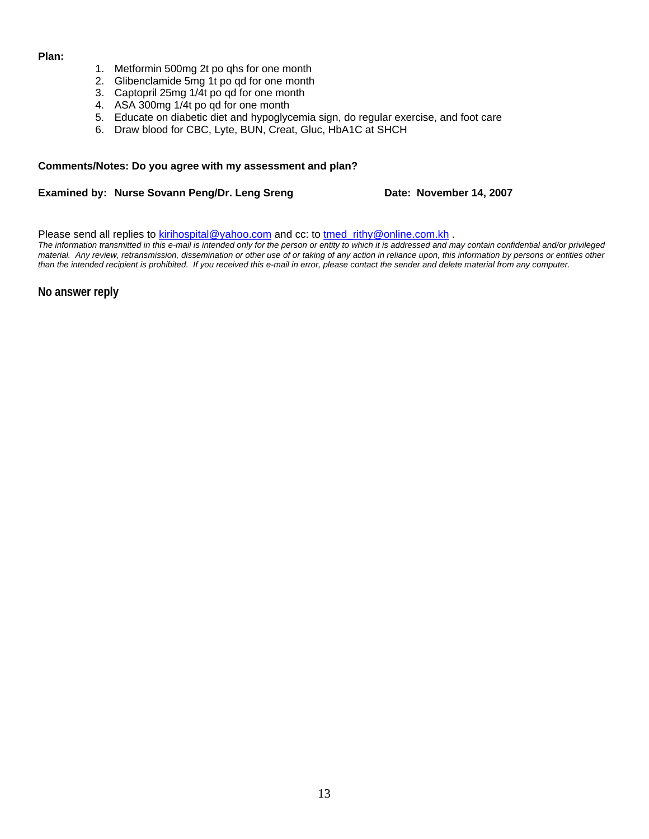#### **Plan:**

- 1. Metformin 500mg 2t po qhs for one month
- 2. Glibenclamide 5mg 1t po qd for one month
- 3. Captopril 25mg 1/4t po qd for one month
- 4. ASA 300mg 1/4t po qd for one month
- 5. Educate on diabetic diet and hypoglycemia sign, do regular exercise, and foot care
- 6. Draw blood for CBC, Lyte, BUN, Creat, Gluc, HbA1C at SHCH

#### **Comments/Notes: Do you agree with my assessment and plan?**

#### **Examined by: Nurse Sovann Peng/Dr. Leng Sreng <b>Date: November 14, 2007**

Please send all replies to [kirihospital@yahoo.com](mailto:kirihospital@yahoo.com) and cc: to [tmed\\_rithy@online.com.kh](mailto:tmed_rithy@bigpond.com.kh) .

*The information transmitted in this e-mail is intended only for the person or entity to which it is addressed and may contain confidential and/or privileged material. Any review, retransmission, dissemination or other use of or taking of any action in reliance upon, this information by persons or entities other than the intended recipient is prohibited. If you received this e-mail in error, please contact the sender and delete material from any computer.*

**No answer reply**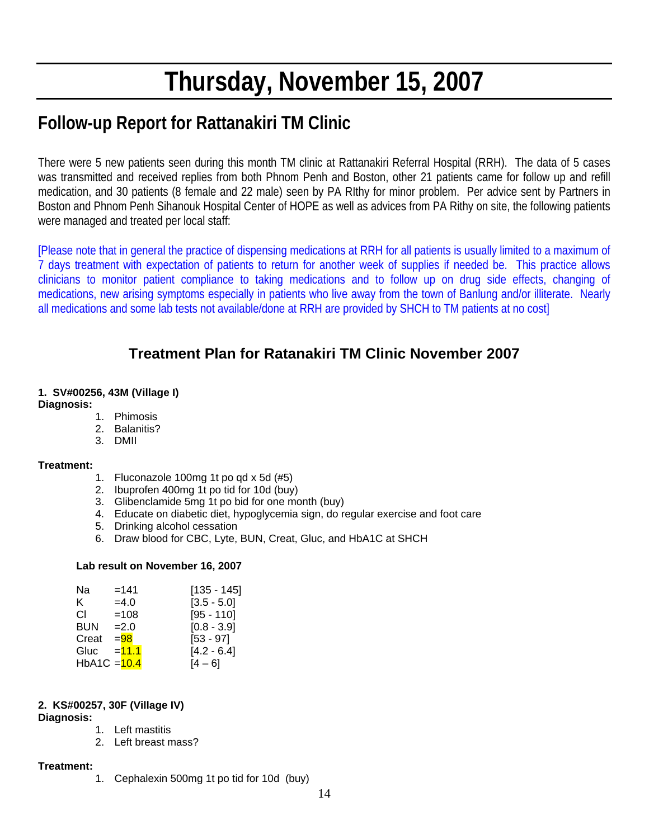# **Thursday, November 15, 2007**

## **Follow-up Report for Rattanakiri TM Clinic**

There were 5 new patients seen during this month TM clinic at Rattanakiri Referral Hospital (RRH). The data of 5 cases was transmitted and received replies from both Phnom Penh and Boston, other 21 patients came for follow up and refill medication, and 30 patients (8 female and 22 male) seen by PA RIthy for minor problem. Per advice sent by Partners in Boston and Phnom Penh Sihanouk Hospital Center of HOPE as well as advices from PA Rithy on site, the following patients were managed and treated per local staff:

[Please note that in general the practice of dispensing medications at RRH for all patients is usually limited to a maximum of 7 days treatment with expectation of patients to return for another week of supplies if needed be. This practice allows clinicians to monitor patient compliance to taking medications and to follow up on drug side effects, changing of medications, new arising symptoms especially in patients who live away from the town of Banlung and/or illiterate. Nearly all medications and some lab tests not available/done at RRH are provided by SHCH to TM patients at no cost]

## **Treatment Plan for Ratanakiri TM Clinic November 2007**

### **1. SV#00256, 43M (Village I)**

#### **Diagnosis:**

- 1. Phimosis
- 2. Balanitis?
- 3. DMII

#### **Treatment:**

- 1. Fluconazole 100mg 1t po qd x 5d (#5)
- 2. Ibuprofen 400mg 1t po tid for 10d (buy)
- 3. Glibenclamide 5mg 1t po bid for one month (buy)
- 4. Educate on diabetic diet, hypoglycemia sign, do regular exercise and foot care
- 5. Drinking alcohol cessation
- 6. Draw blood for CBC, Lyte, BUN, Creat, Gluc, and HbA1C at SHCH

#### **Lab result on November 16, 2007**

| $=141$         | $[135 - 145]$ |
|----------------|---------------|
| $=4.0$         | $[3.5 - 5.0]$ |
| $=108$         | $[95 - 110]$  |
| $=2.0$         | $[0.8 - 3.9]$ |
| $= 98$         | $[53 - 97]$   |
| $=11.1$        | $[4.2 - 6.4]$ |
| HbA1C $=$ 10.4 | $[4 - 6]$     |
|                |               |

#### **2. KS#00257, 30F (Village IV)**

#### **Diagnosis:**

- 1. Left mastitis
- 2. Left breast mass?

#### **Treatment:**

1. Cephalexin 500mg 1t po tid for 10d (buy)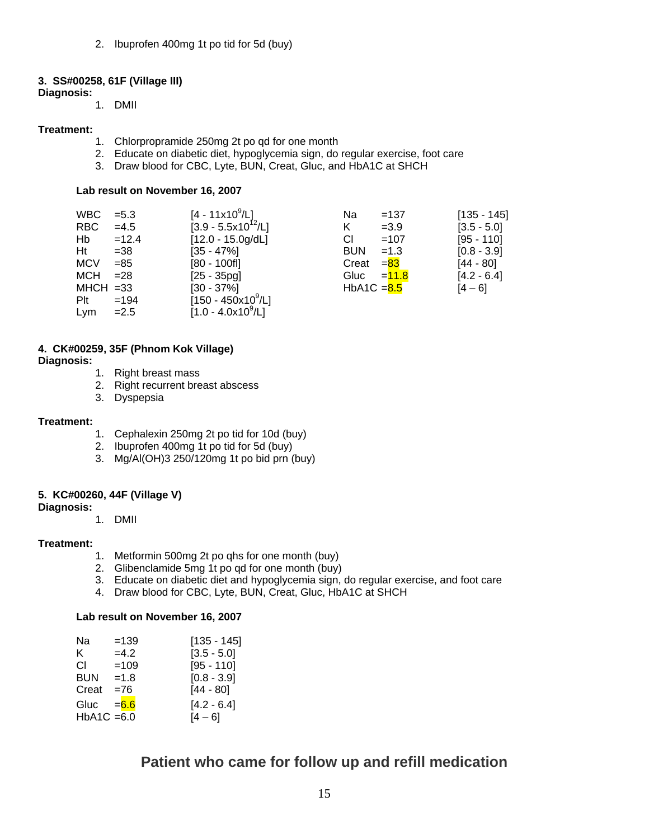2. Ibuprofen 400mg 1t po tid for 5d (buy)

#### **3. SS#00258, 61F (Village III)**

#### **Diagnosis:**

1. DMII

#### **Treatment:**

- 1. Chlorpropramide 250mg 2t po qd for one month
- 2. Educate on diabetic diet, hypoglycemia sign, do regular exercise, foot care
- 3. Draw blood for CBC, Lyte, BUN, Creat, Gluc, and HbA1C at SHCH

#### **Lab result on November 16, 2007**

| <b>WBC</b>  | $= 5.3$ | $[4 - 11 \times 10^9/L]$ | Na            | $=137$   | $[135 - 145]$ |
|-------------|---------|--------------------------|---------------|----------|---------------|
| RBC         | $=4.5$  | $[3.9 - 5.5x10^{12}/L]$  | K             | $=3.9$   | $[3.5 - 5.0]$ |
| Hb          | $=12.4$ | $[12.0 - 15.0g/dL]$      | СI            | $=107$   | $[95 - 110]$  |
| Ht          | $=38$   | $[35 - 47\%]$            | <b>BUN</b>    | $=1.3$   | $[0.8 - 3.9]$ |
| <b>MCV</b>  | $= 85$  | $[80 - 100$ fl]          | Creat         | $= 83$   | $[44 - 80]$   |
| MCH         | $= 28$  | $[25 - 35pg]$            | Gluc          | $= 11.8$ | $[4.2 - 6.4]$ |
| $MHCH = 33$ |         | $[30 - 37\%]$            | HbA1C $= 8.5$ |          | $[4 - 6]$     |
| Plt         | $=194$  | $[150 - 450x10^9/L]$     |               |          |               |
| Lym         | $=2.5$  | $[1.0 - 4.0x10^9/L]$     |               |          |               |

#### **4. CK#00259, 35F (Phnom Kok Village)**

#### **Diagnosis:**

- 1. Right breast mass
- 2. Right recurrent breast abscess
- 3. Dyspepsia

#### **Treatment:**

- 1. Cephalexin 250mg 2t po tid for 10d (buy)
- 2. Ibuprofen 400mg 1t po tid for 5d (buy)
- 3. Mg/Al(OH)3 250/120mg 1t po bid prn (buy)

#### **5. KC#00260, 44F (Village V)**

- **Diagnosis:**
	- 1. DMII

#### **Treatment:**

- 1. Metformin 500mg 2t po qhs for one month (buy)
- 2. Glibenclamide 5mg 1t po qd for one month (buy)
- 3. Educate on diabetic diet and hypoglycemia sign, do regular exercise, and foot care
- 4. Draw blood for CBC, Lyte, BUN, Creat, Gluc, HbA1C at SHCH

#### **Lab result on November 16, 2007**

| Na            | $=139$  | $[135 - 145]$ |
|---------------|---------|---------------|
| ĸ.            | $=4.2$  | $[3.5 - 5.0]$ |
| CI.           | $=109$  | $[95 - 110]$  |
| BUN           | $=1.8$  | $[0.8 - 3.9]$ |
| Creat         | $= 76$  | $[44 - 80]$   |
| Gluc          | $= 6.6$ | $[4.2 - 6.4]$ |
| $HbA1C = 6.0$ |         | [4 – 6]       |

### **Patient who came for follow up and refill medication**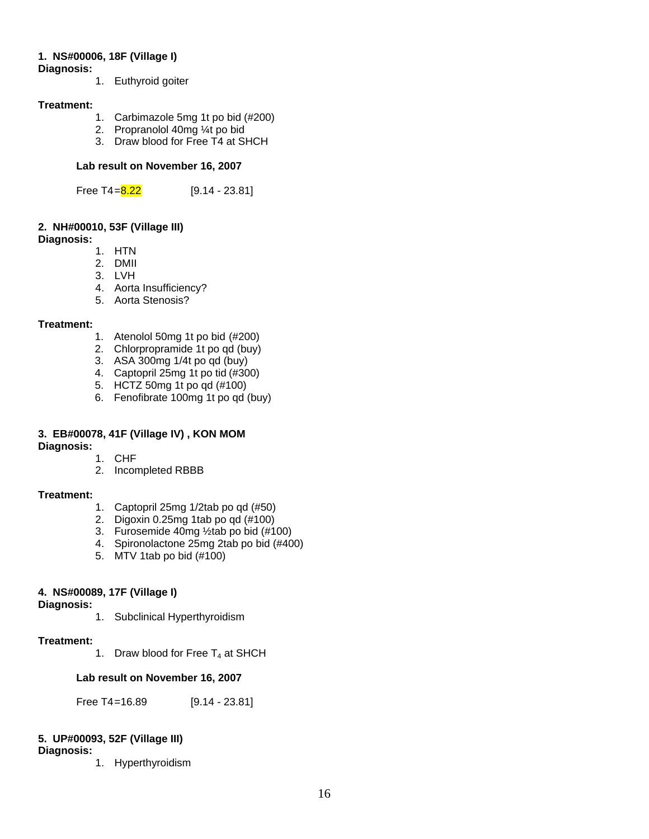#### **1. NS#00006, 18F (Village I)**

**Diagnosis:** 

1. Euthyroid goiter

#### **Treatment:**

- 1. Carbimazole 5mg 1t po bid (#200)
- 2. Propranolol 40mg ¼t po bid
- 3. Draw blood for Free T4 at SHCH

#### **Lab result on November 16, 2007**

Free T4= $8.22$  [9.14 - 23.81]

#### **2. NH#00010, 53F (Village III)**

#### **Diagnosis:**

- 1. HTN
- 2. DMII
- 3. LVH
- 4. Aorta Insufficiency?
- 5. Aorta Stenosis?

#### **Treatment:**

- 1. Atenolol 50mg 1t po bid (#200)
- 2. Chlorpropramide 1t po qd (buy)
- 3. ASA 300mg 1/4t po qd (buy)
- 4. Captopril 25mg 1t po tid (#300)
- 5. HCTZ 50mg 1t po qd (#100)
- 6. Fenofibrate 100mg 1t po qd (buy)

#### **3. EB#00078, 41F (Village IV) , KON MOM Diagnosis:**

- 1. CHF
- 2. Incompleted RBBB

#### **Treatment:**

- 1. Captopril 25mg 1/2tab po qd (#50)
- 2. Digoxin 0.25mg 1tab po qd (#100)
- 3. Furosemide 40mg ½tab po bid (#100)
- 4. Spironolactone 25mg 2tab po bid (#400)
- 5. MTV 1tab po bid (#100)

#### **4. NS#00089, 17F (Village I)**

**Diagnosis:** 

1. Subclinical Hyperthyroidism

#### **Treatment:**

1. Draw blood for Free  $T_4$  at SHCH

#### **Lab result on November 16, 2007**

Free T4=16.89 [9.14 - 23.81]

#### **5. UP#00093, 52F (Village III)**

#### **Diagnosis:**

1. Hyperthyroidism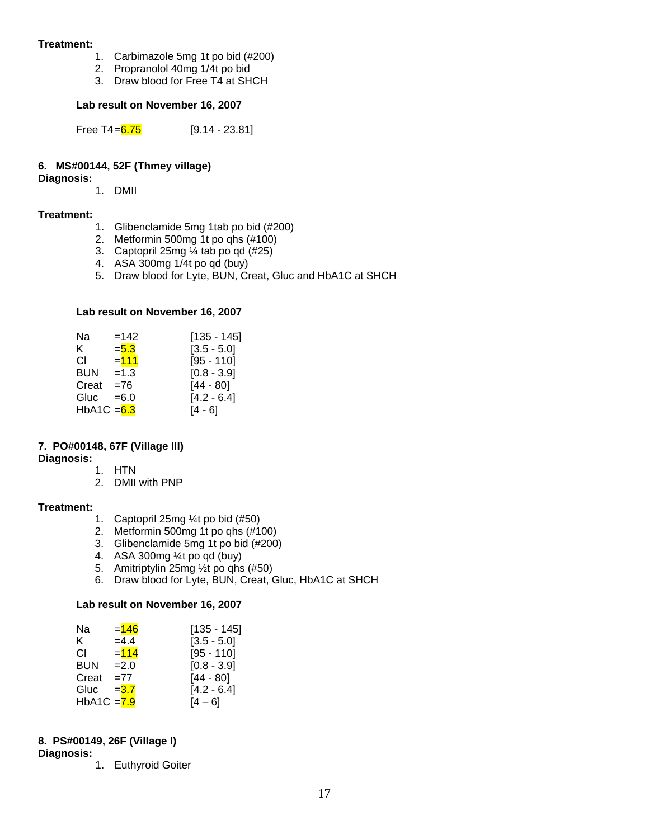#### **Treatment:**

- 1. Carbimazole 5mg 1t po bid (#200)
- 2. Propranolol 40mg 1/4t po bid
- 3. Draw blood for Free T4 at SHCH

#### **Lab result on November 16, 2007**

Free T4= $6.75$  [9.14 - 23.81]

#### **6. MS#00144, 52F (Thmey village)**

#### **Diagnosis:**

1. DMII

#### **Treatment:**

- 1. Glibenclamide 5mg 1tab po bid (#200)
- 2. Metformin 500mg 1t po qhs (#100)
- 3. Captopril 25mg ¼ tab po qd (#25)
- 4. ASA 300mg 1/4t po qd (buy)
- 5. Draw blood for Lyte, BUN, Creat, Gluc and HbA1C at SHCH

#### **Lab result on November 16, 2007**

| Na           | $=142$  | $[135 - 145]$ |
|--------------|---------|---------------|
| K.           | $= 5.3$ | $[3.5 - 5.0]$ |
| СL           | $= 111$ | $[95 - 110]$  |
| <b>BUN</b>   | $=1.3$  | $[0.8 - 3.9]$ |
| Creat        | $= 76$  | $[44 - 80]$   |
| Gluc         | $= 6.0$ | $[4.2 - 6.4]$ |
| HbA1C $=6.3$ |         | [4 - 6]       |

#### **7. PO#00148, 67F (Village III)**

**Diagnosis:** 

- 1. HTN
- 2. DMII with PNP

#### **Treatment:**

- 1. Captopril 25mg ¼t po bid (#50)
- 2. Metformin 500mg 1t po qhs (#100)
- 3. Glibenclamide 5mg 1t po bid (#200)
- 4. ASA 300 $mg \frac{1}{4}$ t po qd (buy)
- 5. Amitriptylin 25mg ½t po qhs (#50)
- 6. Draw blood for Lyte, BUN, Creat, Gluc, HbA1C at SHCH

#### **Lab result on November 16, 2007**

| Na            | $= 146$ | $[135 - 145]$ |
|---------------|---------|---------------|
| ĸ.            | $=4.4$  | $[3.5 - 5.0]$ |
| CI.           | $= 114$ | $[95 - 110]$  |
| BUN           | $=2.0$  | $[0.8 - 3.9]$ |
| Creat         | $=77$   | $[44 - 80]$   |
| Gluc          | $= 3.7$ | $[4.2 - 6.4]$ |
| HbA1C $=$ 7.9 |         | 14 – 61       |

#### **8. PS#00149, 26F (Village I)**

**Diagnosis:** 

1. Euthyroid Goiter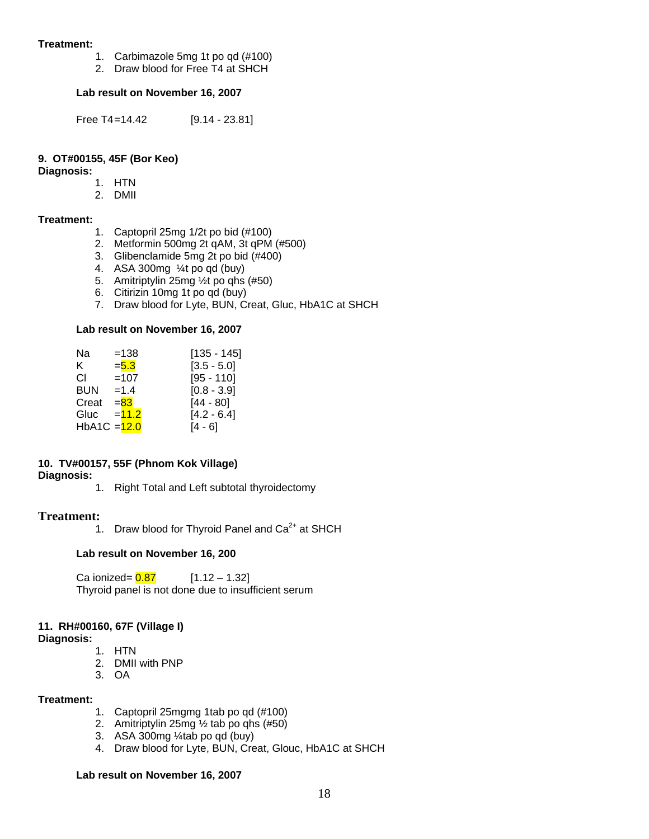#### **Treatment:**

- 1. Carbimazole 5mg 1t po qd (#100)
- 2. Draw blood for Free T4 at SHCH

#### **Lab result on November 16, 2007**

Free T4=14.42 [9.14 - 23.81]

#### **9. OT#00155, 45F (Bor Keo)**

#### **Diagnosis:**

- 1. HTN
	- 2. DMII

#### **Treatment:**

- 1. Captopril 25mg 1/2t po bid (#100)
- 2. Metformin 500mg 2t qAM, 3t qPM (#500)
- 3. Glibenclamide 5mg 2t po bid (#400)
- 4. ASA 300mg ¼t po qd (buy)
- 5. Amitriptylin 25mg ½t po qhs (#50)
- 6. Citirizin 10mg 1t po qd (buy)
- 7. Draw blood for Lyte, BUN, Creat, Gluc, HbA1C at SHCH

#### **Lab result on November 16, 2007**

| Na             | $=138$  | $[135 - 145]$ |
|----------------|---------|---------------|
| ĸ.             | $= 5.3$ | $[3.5 - 5.0]$ |
| CI.            | $=107$  | $[95 - 110]$  |
| BUN            | $=1.4$  | $[0.8 - 3.9]$ |
| Creat          | $= 83$  | $[44 - 80]$   |
| Gluc           | $=11.2$ | $[4.2 - 6.4]$ |
| HbA1C $=$ 12.0 |         | [4 - 6]       |

#### **10. TV#00157, 55F (Phnom Kok Village)**

#### **Diagnosis:**

1. Right Total and Left subtotal thyroidectomy

#### **Treatment:**

1. Draw blood for Thyroid Panel and  $Ca<sup>2+</sup>$  at SHCH

#### **Lab result on November 16, 200**

Ca ionized=  $0.87$  [1.12 – 1.32] Thyroid panel is not done due to insufficient serum

#### **11. RH#00160, 67F (Village I)**

- **Diagnosis:** 
	- 1. HTN
	- 2. DMII with PNP
	- 3. OA

#### **Treatment:**

- 1. Captopril 25mgmg 1tab po qd (#100)
- 2. Amitriptylin 25mg ½ tab po qhs (#50)
- 3. ASA 300mg ¼tab po qd (buy)
- 4. Draw blood for Lyte, BUN, Creat, Glouc, HbA1C at SHCH

#### **Lab result on November 16, 2007**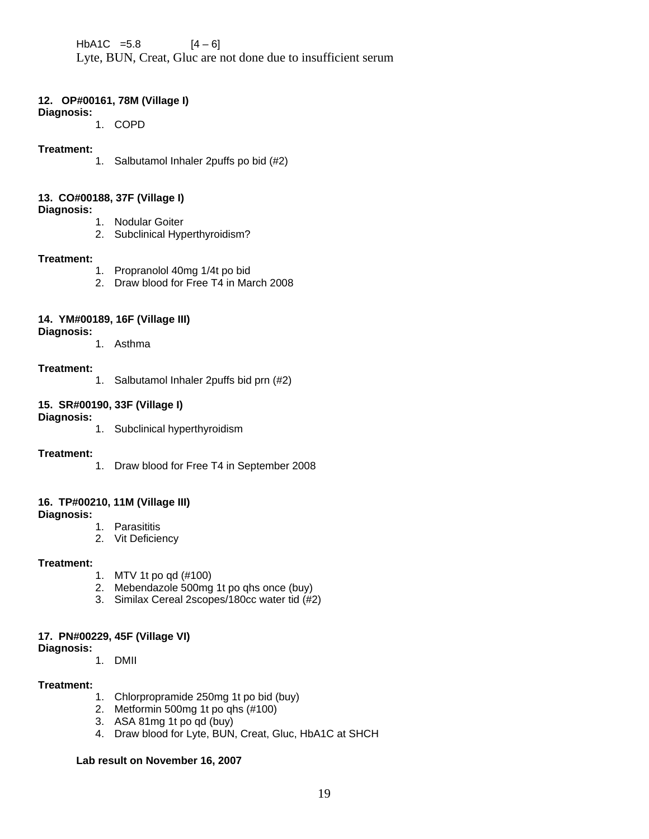$HbA1C = 5.8$  [4 – 6]

Lyte, BUN, Creat, Gluc are not done due to insufficient serum

#### **12. OP#00161, 78M (Village I)**

**Diagnosis:** 

1. COPD

#### **Treatment:**

1. Salbutamol Inhaler 2puffs po bid (#2)

#### **13. CO#00188, 37F (Village I)**

#### **Diagnosis:**

- 1. Nodular Goiter
- 2. Subclinical Hyperthyroidism?

#### **Treatment:**

- 1. Propranolol 40mg 1/4t po bid
- 2. Draw blood for Free T4 in March 2008

#### **14. YM#00189, 16F (Village III)**

**Diagnosis:** 

1. Asthma

#### **Treatment:**

1. Salbutamol Inhaler 2puffs bid prn (#2)

#### **15. SR#00190, 33F (Village I)**

- **Diagnosis:** 
	- 1. Subclinical hyperthyroidism

#### **Treatment:**

1. Draw blood for Free T4 in September 2008

#### **16. TP#00210, 11M (Village III)**

#### **Diagnosis:**

- 1. Parasititis
- 2. Vit Deficiency

#### **Treatment:**

- 1. MTV 1t po qd (#100)
- 2. Mebendazole 500mg 1t po qhs once (buy)
- 3. Similax Cereal 2scopes/180cc water tid (#2)

#### **17. PN#00229, 45F (Village VI)**

#### **Diagnosis:**

1. DMII

#### **Treatment:**

- 1. Chlorpropramide 250mg 1t po bid (buy)
- 2. Metformin 500mg 1t po qhs (#100)
- 3. ASA 81mg 1t po qd (buy)
- 4. Draw blood for Lyte, BUN, Creat, Gluc, HbA1C at SHCH

#### **Lab result on November 16, 2007**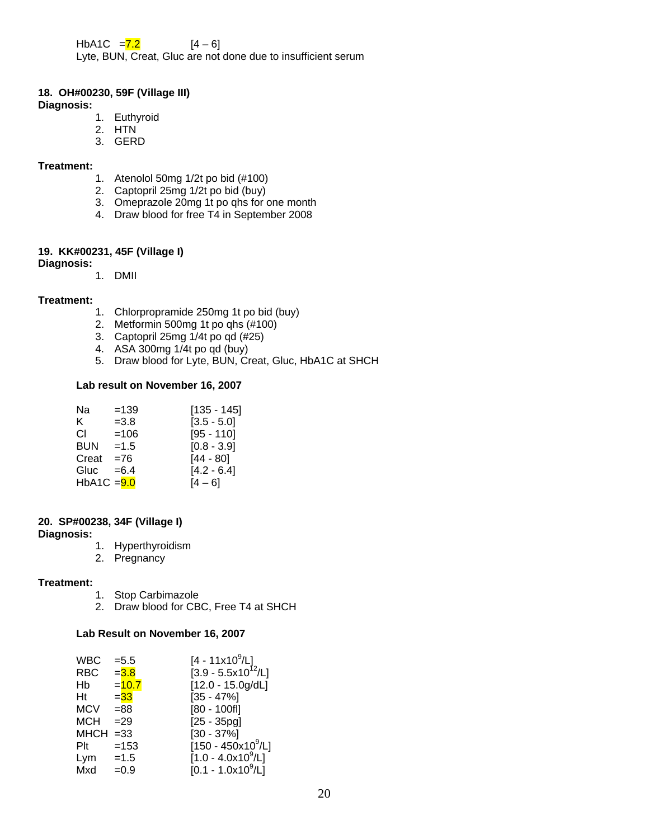HbA1C  $=$   $\frac{1}{2}$  [4 – 6] Lyte, BUN, Creat, Gluc are not done due to insufficient serum

#### **18. OH#00230, 59F (Village III)**

#### **Diagnosis:**

- 1. Euthyroid
- 2. HTN
- 3. GERD

#### **Treatment:**

- 1. Atenolol 50mg 1/2t po bid (#100)
- 2. Captopril 25mg 1/2t po bid (buy)
- 3. Omeprazole 20mg 1t po qhs for one month
- 4. Draw blood for free T4 in September 2008

#### **19. KK#00231, 45F (Village I)**

#### **Diagnosis:**

1. DMII

#### **Treatment:**

- 1. Chlorpropramide 250mg 1t po bid (buy)
- 2. Metformin 500mg 1t po qhs (#100)
- 3. Captopril 25mg 1/4t po qd (#25)
- 4. ASA 300mg 1/4t po qd (buy)
- 5. Draw blood for Lyte, BUN, Creat, Gluc, HbA1C at SHCH

#### **Lab result on November 16, 2007**

| Na            | $=139$  | $[135 - 145]$ |
|---------------|---------|---------------|
| ĸ.            | $=3.8$  | $[3.5 - 5.0]$ |
| CL.           | $=106$  | $[95 - 110]$  |
| BUN           | $=1.5$  | $[0.8 - 3.9]$ |
| Creat         | $= 76$  | $[44 - 80]$   |
| Gluc          | $= 6.4$ | $[4.2 - 6.4]$ |
| $HbA1C = 9.0$ |         | 14 – 61       |

#### **20. SP#00238, 34F (Village I)**

**Diagnosis:**

- 1. Hyperthyroidism
- 2. Pregnancy

#### **Treatment:**

- 1. Stop Carbimazole
- 2. Draw blood for CBC, Free T4 at SHCH

#### **Lab Result on November 16, 2007**

| <b>WBC</b>  | $= 5.5$ | $[4 - 11 \times 10^9/L]$        |
|-------------|---------|---------------------------------|
| <b>RBC</b>  | $= 3.8$ | [3.9 - 5.5x10 <sup>12</sup> /L] |
| Hb          | $=10.7$ | $[12.0 - 15.0g/dL]$             |
| Ht          | $= 33$  | $[35 - 47\%]$                   |
| <b>MCV</b>  | $= 88$  | $[80 - 100f]$                   |
| <b>MCH</b>  | $=29$   | $[25 - 35pq]$                   |
| $MHCH = 33$ |         | $[30 - 37\%]$                   |
| Plt         | $=153$  | $[150 - 450 \times 10^9$ /L]    |
| Lym         | $=1.5$  | $[1.0 - 4.0x10^9/L]$            |
| Mxd         | $=0.9$  | $[0.1 - 1.0x10^9/L]$            |